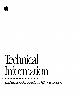

*Specificalions for Power Macintosh* 5400 *series computers*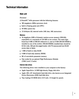# **Technical Information**

# **Main unit**

## Processor

A PowerPC™ 603e processor with the following features:

- 180 megahertz (MHz) processor clock
- built-in floating point unit (FPU)
- 40 MHz system bus
- 32 kilobytes (K) internal cache ( 16K data, 16K instruction)

## **Memory**

- 16 megabytes (MB) of dynamic random-access memory (DRAM), expandable to a maximum of 136 MB in two sockets. The main logic board has 8 MB of DRAM soldered to it, and an 8 MB DRAM DIMM is installed in one of the sockets. DRAM DIMMs installed later should be 64-bit wide, 168-pin fast-paged mode, with 70-nanosecond (ns) RAM access time or faster.
- **1 MB** of built-in video RAM
- 4 MB of read-only memory (ROM)
- $\bullet$  8K of nonvolatile parameter memory
- One socket for an optional High Performance Module (256K Level 2 Cache)

## **Internal disk drives**

The following drives were installed in your computer at the factory:

- Apple SuperDrive 1.4 MB high-density floppy disk drive
- Apple ATA (AT Attachment) hard disk drive, also known as an Integrated Device Electronics (IDE) hard disk drive
- Tray-loading CD-ROM drive (5.25-inch, 1/2-height 8x-speed).

 $\ddot{\cdot}$   $\ddot{\cdot}$   $\ddot{\cdot}$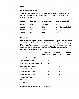# **Video**

## **Graphic modes supported**

Your Power Macintosh 5400 series computer can display the graphic modes listed in the following table. In addition, your computer can display video input in some modes.

| <b>Resolution</b> | Color depth | Vertical scan rate | Video input supported          |
|-------------------|-------------|--------------------|--------------------------------|
| 640 x 480         | 16-bit      | 60 Hz and 67 Hz    | ves                            |
| 800 x 600         | 16-bit      | 60 Hz              | yes, 8-bit or less color depth |
| 800 x 600         | 8-bit       | 72 Hz              | no                             |
| 832 x 624         | 8-bit       | 75 Hz              | ves                            |

## **Video output**

With the optional Apple External Video Connector kit, your computer can be connected to an Apple Video Presentation System or a liquid crystal display (LCD) panel. Your Macintosh can also support video mirroring (connecting a second monitor for display purposes) on the following monitors at the resolutions indicated with an X:

|                                         | 640 x 480 at |       | 800 x 600 at |             | 832 x 624 at |
|-----------------------------------------|--------------|-------|--------------|-------------|--------------|
|                                         | 60 Hz        | 67 Hz |              | 60 Hz 72 Hz | 75 Hz        |
| Apple Basic Color Monitor (14")         | X            |       |              |             |              |
| Apple Color Plus 14" Display            |              | X     |              |             |              |
| Apple High-Resolution RGB Monitor (13") |              | X     |              |             |              |
| Apple Multiple Scan 14 Display          | X            | X     |              | X           | X            |
| Apple Multiple Scan 15 Display          | χ            | X     | X            | X           | X            |
| Apple Multiple Scan 17 Display          | X            | X     | x            | X           | X            |
| Apple Multiple Scan 20 Display          | χ            | X     | X            | x           | X            |
| Macintosh Color Display (14")           |              | X     |              |             |              |
| SVGA monitors*                          | χ            |       | X            | X           |              |
| <b>VGA monitors*</b>                    | X            |       |              |             |              |

\*A plug adapter may be required to connect an SVGA or VGA monitor.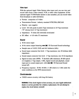# **Video input**

With the optional Apple Video System video input card, you can view and record video from a video camera, VCR, or other video equipment. (If the optional Apple TV /FM Radio System is also installed, you can record video from broadcast or cable television.)

- Format: composite or S-video
- Transmission Format: industry standard NTSC/PAL/SECAM
- Polarity: sync negative
- Level: 0.8 volts peak-to-peak (Vpp) minimum to 2.0 Vpp maximum (''S" chroma level l.4 Vpp maximum)
- Impedance: 75 ohms  $(\Omega)$  internally terminated
- DC offset:  $+/-1.0$  volts (V) maximum

# **Sound**

- **•** 16-bit stereo input
- 16-bit stereo output featuring **SRsCeJ** 3D Surround Sound technology
- Sample rates of 11.025, 22.05, and 44.1 kilohertz  $(kHz)$
- Sound input connector line level: 2 Vpp maximum, into 10 kilohms  $(k\Omega)$ impedance
- Sound output connector line level: 2 Vpp maximum, into 32  $\Omega$  impedance
- Signal-to-noise ratio (SNR): 75 decibels (dB) minimum, 80 dB typical (A-weighted, 2 Vpp output, 1 kHz, digital record and playback, sound input port to sound output port, with **SRsCeJ** 30 Surround Sound turned off)
- **•** Frequency response: 20 Hz-18 kHz  $(-3$  dB relative to 1 kHz under the same conditions as the SNR measurement)

## **Clock/calendar**

• CMOS custom circuitry with long-life battery

**WARNING** If the clock begins to lose accuracy, see your Apple-authorized dealer or service provider for a battery replacement. Do not attempt to replace the clock battery yourself.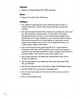# **Keyboard**

• Supports all Apple Desktop Bus (ADB) keyboards

# **Mouse**

**•** Supports all models of the ADB mouse

# **Interfaces**

- One ADB port supporting up to three ADB input devices (such as a trackball, keyboard, or mouse) daisy-chained through a synchronous serial bus
- The optional Apple External Video Connector kit provides one monitor-out port. By connecting a second monitor, an LCD panel, or the Apple Presentation System to the port, you can simultaneously display on the attached device the images displayed on your computer's built-in monitor. (You cannot increase the size of your desktop by connecting a second monitor to this monitor-out port.) For a list of supported monitors, see "Video Output" earlier in this booklet.
- One internal expansion slot supporting 6.88-inch 15-watt Peripheral Component Interconnect (PCI) expansion cards. Install only expansion cards that come with Macintosh drivers and are compliant with the PCI 2.0 standard. NuBus™ cards cannot be used in this expansion slot.
- One internal expansion slot supporting communication cards (such as modem, fax, Ethernet)
- One internal expansion slot supporting video input cards using NTSC, PAL, and SECAM
- One internal expansion bay for the optional Apple TV/FM Radio System
- Two RS-232/RS-422 serial GeoPort-compatible ports
- One 3.5-mm sound output port for line-level devices such as powered loudspeakers
- One 3.5-mm headphone jack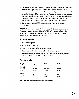- One 3.5-mm sound input port for stereo sound input. The sound input port supports the Apple PlainTalk Microphone. (You can also connect non-Apple microphones.) In addition, the sound input port supports a standard stereo (miniplug-to-RCA) cable adapter for connecting stereo equipment to your computer. It does not support the Apple Omni microphone (the round microphone shipped with some earlier models of Macintosh) or the attenuated RCA adapter provided with some models of Macintosh.
- One external standard SCSI port that supports up to six external SCSI devices

IMPORTANT Some older SCSI devices or SCSI devices not manufactured by Apple may require updated drivers. (A "driver" is special software that is installed in your System Folder.) Contact the device manufacturer for information on obtaining driver software.

# Additional features

- Built-in microphone
- Built-in stereo speakers
- Support for optional infrared remote control
- Front panel push-button controls for volume and picture
- Power on and off from keyboard and optional remote control (included with the optional Apple TV/FM Radio System)

# Size and weight

| Weight                             | <b>Height</b><br>All age of    | Width                | <b>Depth</b>                |  |
|------------------------------------|--------------------------------|----------------------|-----------------------------|--|
| Main unit<br>21.15 kg*<br>47 lbs.* | 445 mm<br>$17.5$ in.           | 383 mm<br>$15.1$ in. | 406 mm<br>16 in.            |  |
| <b>Mouse</b><br>$0.11$ kg<br>4 oz. | $33 \, \text{mm}$<br>$1.3$ in. | 61 mm<br>2.4 in.     | $107 \text{ mm}$<br>4.2 in. |  |

\*Weight varies depending on type of hard disk and any optional equipment.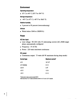# **Environment**

#### **Operating temperature**

 $10^{\circ}$  C to 40° C (50° F to 104° F)

#### **Storage temperature**

 $-40^{\circ}$  C to 47° C (-40° F to 116.6° F)

## **Relative humidity**

• 5 percent to 95 percent (noncondensing)

## **Altitude**

• Works below 3048 m ( 10,000 ft.)

# **Power**

## **AC line input**

- **•** Line voltage:  $90-264$  volts (V) alternating current (AC), RMS single phase, automatically configured
- **•** Frequency: 47–63 Hz
- **Power: 220 watts maximum continuous**

## **DC power**

• Continuous output: 73 watts (60 W maximum during sleep mode)

| <b>Current type</b> | Maximum current* |
|---------------------|------------------|
| $+5V$               | 10.7 At          |
| +5 V (trickle)      | 0.1A             |
| $+3.3V$             | 5 At             |
| +12V                | 1.5A             |
| –12 V               | 0.1 A            |

\*Total power output cannot exceed 98 W.

tNot more than 1O.7 A total combined current on +5 V and +3.3 V outputs.

 $\ddot{\ddot{\cdot}}$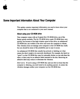$-$ 

# **Some Important Information About Your Computer**

This update contains important information you need to know about your computer that is not contained in your user's manual.

# **About using your CD-ROM drive**

Your computer comes with an 8-speed  $(8x)$  CD-ROM drive, one of the fastest speeds available. The 8x CD-ROM drive reads CD-ROM discs very quickly, but because of the high rotation speed of the drive, an unbalanced CD-ROM disc can wobble in the drive and cause the computer to vibrate. This vibration does not damage your computer or the CD-ROM disc itself, but you should be aware of the possibility just in case it occurs.

An unbalanced CD-ROM disc usually has artwork or labeling on it that causes the disc's weight to be unevenly distributed. For example, the label (or "paint") on the CD-ROM disc may be noticeably thicker on one side than the other, or there may be an adhesive label attached to the disc. Removing an adhesive label may reduce or eliminate the vibration.

*Don't worry:* If you're using a CD-ROM disc and you feel (or hear) that the computer is vibrating, you don't need to do anything special. As noted, the vibration damages neither your computer nor the CD-ROM disc.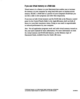# If **you use virtual memory or a RAM disk**

*Virtual memory* is a feature on your Macintosh that enables you to increase the memory on your computer by using hard disk space as random-access memory (RAM). A *RAM disk* is a portion of your computer's RAM that you use like a disk to store programs and other files temporarily.

If you turn on both virtual memory and the RAM disk in the Memory control panel (in the Control Panels folder in the Apple **ti** menu), don't set both of them at or near their maximum values. Doing so can result in unpredictable or reduced performance by your computer.

*Note:* Not all application programs work well with virtual memory turned on. See your user's manual for more information. For more information on both the virtual memory and RAM disk features, see the Memory topic of Macintosh Guide, available from the Guide (22) menu.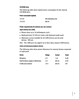## CD-ROM drive

The following table shows typical power consumption for the internal CD-ROM drive.

#### Power consumption (typical)

350 milliamperes (mA)

+SVDC +12V DC

300mA

## Power requirements for devices you can connect

#### Apple Desktop Bus (ADB)

- Mouse draws up to 10 milliamperes (mA)
- Keyboard draws 25-80 mA (varies with keyboard model used)
- Maximum current available for all ADB devices and all serial devices: 500 mA

*Note:* The ADB port can support up to three daisy-chained ADB devices.

#### Audio and telecommunications devices

The following table shows power allowances for external devices connected to input ports.

| Device                                | <b>Voltage</b> | <b>Current</b> | <b>Power</b> |
|---------------------------------------|----------------|----------------|--------------|
| Microphone                            | +5 V           | 1 mA           | 5 mW         |
| GeoPort telecom adapter & ADB devices | +5 V           | 500 mA         | 2.5W         |
| S-video input connector               | +12 V          | 250 mA         | 3 W          |

 $\ddot{\cdot}$  :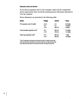## **Expansion cards and devices**

If you add an expansion card to your computer, make sure the component's power requirements don't exceed the maximum power allowances allocated to it by the computer.

Power allowances are presented in the following table.

| <b>Device</b>                             | <b>Voltage</b> | <b>Current</b> | <b>Power</b> |
|-------------------------------------------|----------------|----------------|--------------|
| PCI expansion card (15 watts)*            | $+3.3V$        | 2 A            | 6.6 Watts    |
|                                           | $+5V$          | 3 A            | 15 Watts     |
|                                           | $-12V$         | 500 mA         | 6 Watts      |
| Communication expansion card <sup>t</sup> | +5 V           | 500 mA         | 2.5 Watts    |
|                                           | $+12V$         | 100 mA         | 1.2 Watts    |
| Video input expansion card <sup>‡</sup>   | +5 V           | 200 mA         | 1 Watt       |
|                                           | +12 V          | 300 mA         | 3.6 Watts    |

\*The PCI expansion card should not consume more than 15 watts of power total.

tThe communication card should not consume more than 2.5 watts of power total.

tThe video input card should not consume more than 4.6 watts of power total.

 $\ddot{\cdot}$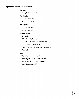# **Specifications for CD-ROM drive**

## **Disc speed**

• 8x (eight-times speed)

#### **Disc diameter**

- $\blacksquare$  120 mm (4.7 inches)
- $\equiv$  80 mm (3.2 inches)

## **Data capacity**

- 656 MB, Mode 1
- 748 MB, Mode 2

## **Modes supported**

- Audio CD
- CD-ROM: Modes 1 and 2
- CD-ROM XA: Mode 2, Forms 1 and 2
- CD-I: Mode 2, Forms 1and2
- Photo CD: Single-session and multisession
- Video CD

## **Laser**

- Type: Semiconductor GaAIAs laser
- Wavelength: 770 to 795 nanometers
- $\blacksquare$  Output power: 0.2 to 0.6 milliwatts
- Beam divergence: 55°

 $\ddot{\cdot}$